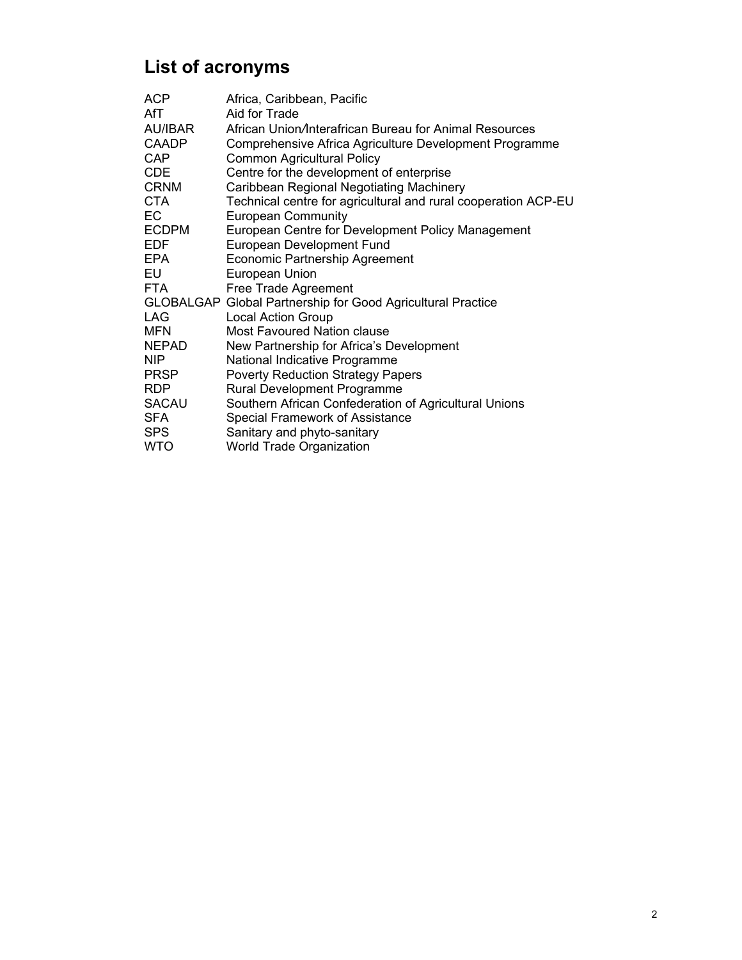# **List of acronyms**

| <b>ACP</b>   | Africa, Caribbean, Pacific                                     |
|--------------|----------------------------------------------------------------|
| AfT          | Aid for Trade                                                  |
| AU/IBAR      | African Union/Interafrican Bureau for Animal Resources         |
| <b>CAADP</b> | Comprehensive Africa Agriculture Development Programme         |
| CAP          | <b>Common Agricultural Policy</b>                              |
| <b>CDE</b>   | Centre for the development of enterprise                       |
| <b>CRNM</b>  | Caribbean Regional Negotiating Machinery                       |
| <b>CTA</b>   | Technical centre for agricultural and rural cooperation ACP-EU |
| EC.          | <b>European Community</b>                                      |
| <b>ECDPM</b> | European Centre for Development Policy Management              |
| <b>EDF</b>   | European Development Fund                                      |
| <b>EPA</b>   | <b>Economic Partnership Agreement</b>                          |
| EU           | European Union                                                 |
| <b>FTA</b>   | Free Trade Agreement                                           |
|              | GLOBALGAP Global Partnership for Good Agricultural Practice    |
| <b>LAG</b>   | <b>Local Action Group</b>                                      |
| <b>MFN</b>   | <b>Most Favoured Nation clause</b>                             |
| NEPAD        | New Partnership for Africa's Development                       |
| <b>NIP</b>   | National Indicative Programme                                  |
| <b>PRSP</b>  | <b>Poverty Reduction Strategy Papers</b>                       |
| <b>RDP</b>   | Rural Development Programme                                    |
| SACAU        | Southern African Confederation of Agricultural Unions          |
| <b>SFA</b>   | Special Framework of Assistance                                |
| <b>SPS</b>   | Sanitary and phyto-sanitary                                    |
| <b>WTO</b>   | <b>World Trade Organization</b>                                |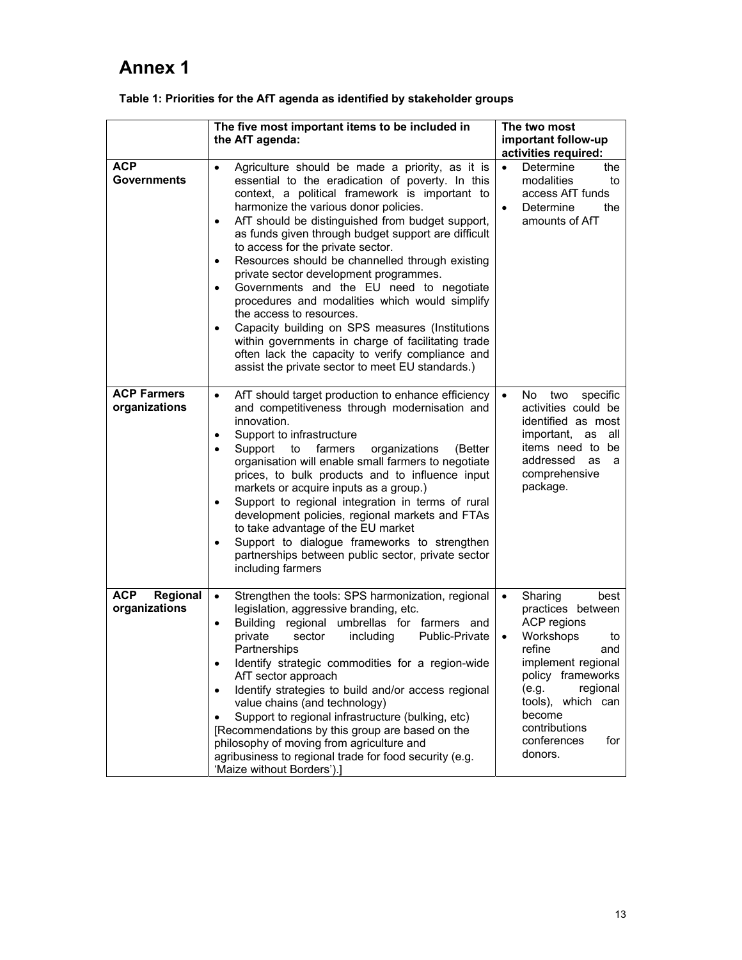## **Annex 1**

|                                         | The five most important items to be included in<br>the AfT agenda:                                                                                                                                                                                                                                                                                                                                                                                                                                                                                                                                                                                                                                                                                                                                                                              | The two most<br>important follow-up<br>activities required:                                                                                                                                                                                                        |
|-----------------------------------------|-------------------------------------------------------------------------------------------------------------------------------------------------------------------------------------------------------------------------------------------------------------------------------------------------------------------------------------------------------------------------------------------------------------------------------------------------------------------------------------------------------------------------------------------------------------------------------------------------------------------------------------------------------------------------------------------------------------------------------------------------------------------------------------------------------------------------------------------------|--------------------------------------------------------------------------------------------------------------------------------------------------------------------------------------------------------------------------------------------------------------------|
| <b>ACP</b><br><b>Governments</b>        | Agriculture should be made a priority, as it is<br>$\bullet$<br>essential to the eradication of poverty. In this<br>context, a political framework is important to<br>harmonize the various donor policies.<br>AfT should be distinguished from budget support,<br>$\bullet$<br>as funds given through budget support are difficult<br>to access for the private sector.<br>Resources should be channelled through existing<br>$\bullet$<br>private sector development programmes.<br>Governments and the EU need to negotiate<br>$\bullet$<br>procedures and modalities which would simplify<br>the access to resources.<br>Capacity building on SPS measures (Institutions<br>٠<br>within governments in charge of facilitating trade<br>often lack the capacity to verify compliance and<br>assist the private sector to meet EU standards.) | $\bullet$<br>Determine<br>the<br>modalities<br>to<br>access AfT funds<br>Determine<br>the<br>$\bullet$<br>amounts of AfT                                                                                                                                           |
| <b>ACP Farmers</b><br>organizations     | AfT should target production to enhance efficiency<br>$\bullet$<br>and competitiveness through modernisation and<br>innovation.<br>Support to infrastructure<br>$\bullet$<br>Support<br>farmers<br>to<br>organizations<br>(Better<br>٠<br>organisation will enable small farmers to negotiate<br>prices, to bulk products and to influence input<br>markets or acquire inputs as a group.)<br>Support to regional integration in terms of rural<br>$\bullet$<br>development policies, regional markets and FTAs<br>to take advantage of the EU market<br>Support to dialogue frameworks to strengthen<br>$\bullet$<br>partnerships between public sector, private sector<br>including farmers                                                                                                                                                   | specific<br>$\bullet$<br>No.<br>two<br>activities could be<br>identified as most<br>important,<br>as<br>all<br>items need to<br>be<br>addressed<br>as<br>a<br>comprehensive<br>package.                                                                            |
| <b>ACP</b><br>Regional<br>organizations | Strengthen the tools: SPS harmonization, regional<br>$\bullet$<br>legislation, aggressive branding, etc.<br>Building regional umbrellas for farmers and<br>$\bullet$<br>private<br>sector<br>including<br>Public-Private<br>Partnerships<br>Identify strategic commodities for a region-wide<br>AfT sector approach<br>Identify strategies to build and/or access regional<br>$\bullet$<br>value chains (and technology)<br>Support to regional infrastructure (bulking, etc)<br>$\bullet$<br>[Recommendations by this group are based on the<br>philosophy of moving from agriculture and<br>agribusiness to regional trade for food security (e.g.<br>'Maize without Borders').]                                                                                                                                                              | Sharing<br>best<br>$\bullet$<br>practices between<br>ACP regions<br>Workshops<br>$\bullet$<br>to<br>refine<br>and<br>implement regional<br>policy frameworks<br>(e.g.<br>regional<br>tools), which can<br>become<br>contributions<br>conferences<br>for<br>donors. |

#### **Table 1: Priorities for the AfT agenda as identified by stakeholder groups**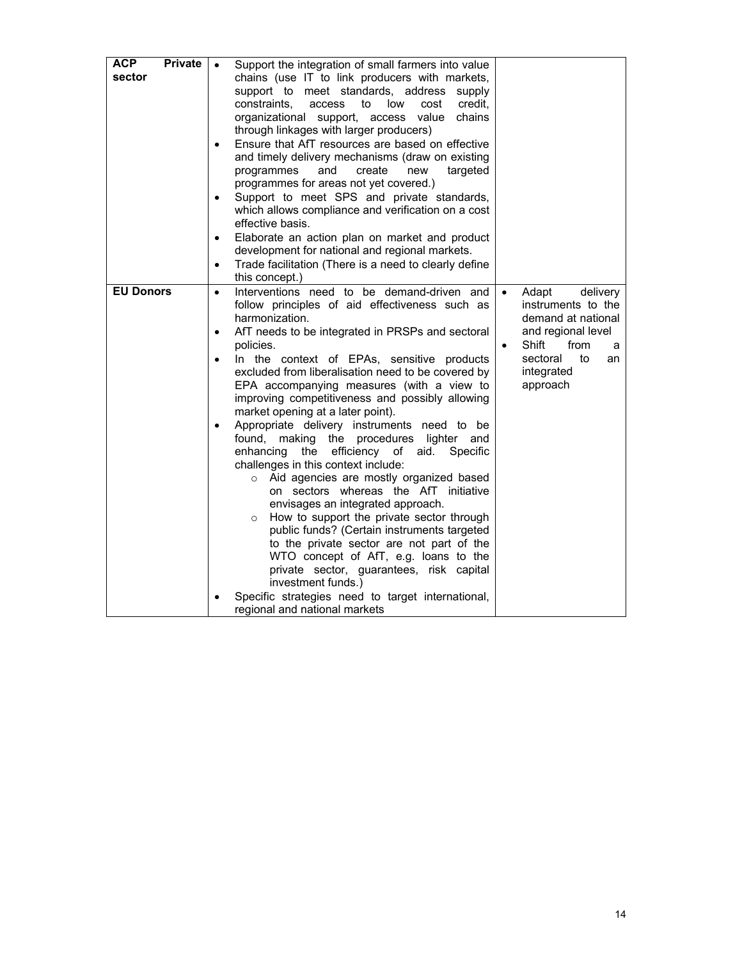| <b>ACP</b><br><b>Private</b><br>sector | Support the integration of small farmers into value<br>$\bullet$<br>chains (use IT to link producers with markets,<br>support to meet standards, address<br>supply<br>constraints,<br>low<br>cost<br>credit,<br>access<br>to<br>organizational support,<br>access value<br>chains<br>through linkages with larger producers)<br>Ensure that AfT resources are based on effective<br>$\bullet$<br>and timely delivery mechanisms (draw on existing<br>programmes<br>and<br>create<br>new<br>targeted<br>programmes for areas not yet covered.)<br>Support to meet SPS and private standards,<br>$\bullet$<br>which allows compliance and verification on a cost<br>effective basis.<br>Elaborate an action plan on market and product<br>$\bullet$<br>development for national and regional markets.<br>Trade facilitation (There is a need to clearly define<br>$\bullet$<br>this concept.)                                                                                                                                                                                                                                                             |                                                                                                                                                                                       |
|----------------------------------------|---------------------------------------------------------------------------------------------------------------------------------------------------------------------------------------------------------------------------------------------------------------------------------------------------------------------------------------------------------------------------------------------------------------------------------------------------------------------------------------------------------------------------------------------------------------------------------------------------------------------------------------------------------------------------------------------------------------------------------------------------------------------------------------------------------------------------------------------------------------------------------------------------------------------------------------------------------------------------------------------------------------------------------------------------------------------------------------------------------------------------------------------------------|---------------------------------------------------------------------------------------------------------------------------------------------------------------------------------------|
| <b>EU Donors</b>                       | Interventions need to be demand-driven and<br>$\bullet$<br>follow principles of aid effectiveness such as<br>harmonization.<br>AfT needs to be integrated in PRSPs and sectoral<br>$\bullet$<br>policies.<br>In the context of EPAs, sensitive products<br>$\bullet$<br>excluded from liberalisation need to be covered by<br>EPA accompanying measures (with a view to<br>improving competitiveness and possibly allowing<br>market opening at a later point).<br>Appropriate delivery instruments need to be<br>$\bullet$<br>found,<br>making<br>the procedures lighter and<br>enhancing the<br>efficiency of aid.<br>Specific<br>challenges in this context include:<br>o Aid agencies are mostly organized based<br>on sectors whereas the AfT initiative<br>envisages an integrated approach.<br>How to support the private sector through<br>$\circ$<br>public funds? (Certain instruments targeted<br>to the private sector are not part of the<br>WTO concept of AfT, e.g. loans to the<br>private sector, guarantees, risk capital<br>investment funds.)<br>Specific strategies need to target international,<br>regional and national markets | Adapt<br>delivery<br>$\bullet$<br>instruments to the<br>demand at national<br>and regional level<br>Shift<br>from<br>$\bullet$<br>a<br>sectoral<br>to<br>an<br>integrated<br>approach |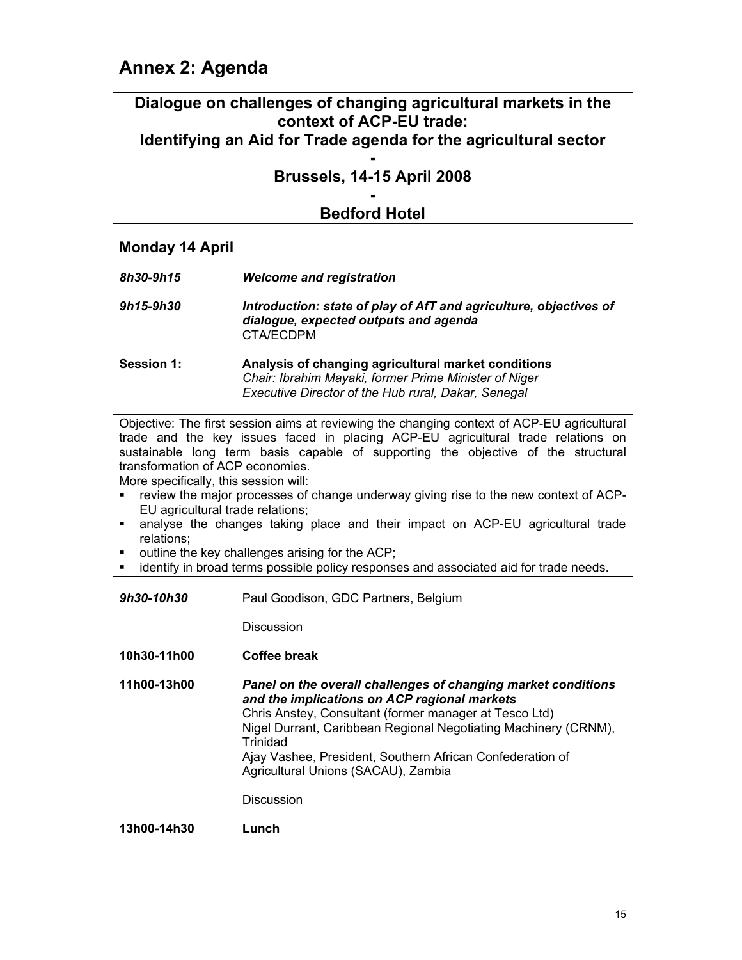## **Annex 2: Agenda**

## **Dialogue on challenges of changing agricultural markets in the context of ACP-EU trade:**

## **Identifying an Aid for Trade agenda for the agricultural sector**

#### **- Brussels, 14-15 April 2008**

#### **- Bedford Hotel**

#### **Monday 14 April**

- *8h30-9h15 Welcome and registration*
- *9h15-9h30 Introduction: state of play of AfT and agriculture, objectives of dialogue, expected outputs and agenda*  CTA/ECDPM
- **Session 1: Analysis of changing agricultural market conditions**   *Chair: Ibrahim Mayaki, former Prime Minister of Niger Executive Director of the Hub rural, Dakar, Senegal*

Objective: The first session aims at reviewing the changing context of ACP-EU agricultural trade and the key issues faced in placing ACP-EU agricultural trade relations on sustainable long term basis capable of supporting the objective of the structural transformation of ACP economies.

More specifically, this session will:

- **•** review the major processes of change underway giving rise to the new context of ACP-EU agricultural trade relations;
- analyse the changes taking place and their impact on ACP-EU agricultural trade relations;
- outline the key challenges arising for the ACP;
- identify in broad terms possible policy responses and associated aid for trade needs.
- *9h30-10h30* Paul Goodison, GDC Partners, Belgium

**Discussion** 

**10h30-11h00 Coffee break** 

**11h00-13h00** *Panel on the overall challenges of changing market conditions and the implications on ACP regional markets* Chris Anstey, Consultant (former manager at Tesco Ltd) Nigel Durrant, Caribbean Regional Negotiating Machinery (CRNM), **Trinidad** Ajay Vashee, President, Southern African Confederation of Agricultural Unions (SACAU), Zambia

**Discussion** 

**13h00-14h30 Lunch**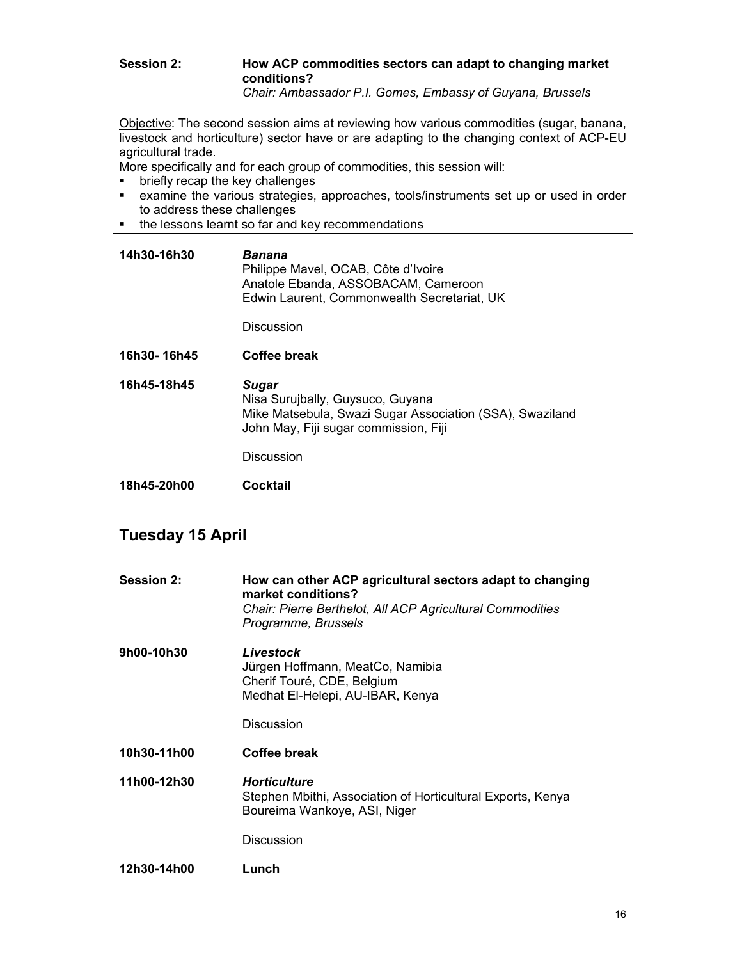### **Session 2: How ACP commodities sectors can adapt to changing market conditions?**

 *Chair: Ambassador P.I. Gomes, Embassy of Guyana, Brussels* 

Objective: The second session aims at reviewing how various commodities (sugar, banana, livestock and horticulture) sector have or are adapting to the changing context of ACP-EU agricultural trade.

More specifically and for each group of commodities, this session will:

- **•** briefly recap the key challenges
- examine the various strategies, approaches, tools/instruments set up or used in order to address these challenges
- the lessons learnt so far and key recommendations
- **14h30-16h30** *Banana*  Philippe Mavel, OCAB, Côte d'Ivoire Anatole Ebanda, ASSOBACAM, Cameroon Edwin Laurent, Commonwealth Secretariat, UK

**Discussion** 

- **16h30- 16h45 Coffee break**
- **16h45-18h45** *Sugar*  Nisa Surujbally, Guysuco, Guyana Mike Matsebula, Swazi Sugar Association (SSA), Swaziland John May, Fiji sugar commission, Fiji

Discussion

**18h45-20h00 Cocktail** 

## **Tuesday 15 April**

| <b>Session 2:</b> | How can other ACP agricultural sectors adapt to changing<br>market conditions?<br>Chair: Pierre Berthelot, All ACP Agricultural Commodities<br>Programme, Brussels |  |  |
|-------------------|--------------------------------------------------------------------------------------------------------------------------------------------------------------------|--|--|
| 9h00-10h30        | Livestock<br>Jürgen Hoffmann, MeatCo, Namibia<br>Cherif Touré, CDE, Belgium<br>Medhat El-Helepi, AU-IBAR, Kenya                                                    |  |  |
|                   | <b>Discussion</b>                                                                                                                                                  |  |  |
| 10h30-11h00       | Coffee break                                                                                                                                                       |  |  |
| 11h00-12h30       | <b>Horticulture</b><br>Stephen Mbithi, Association of Horticultural Exports, Kenya<br>Boureima Wankoye, ASI, Niger                                                 |  |  |
|                   | <b>Discussion</b>                                                                                                                                                  |  |  |
| 12h30-14h00       | Lunch                                                                                                                                                              |  |  |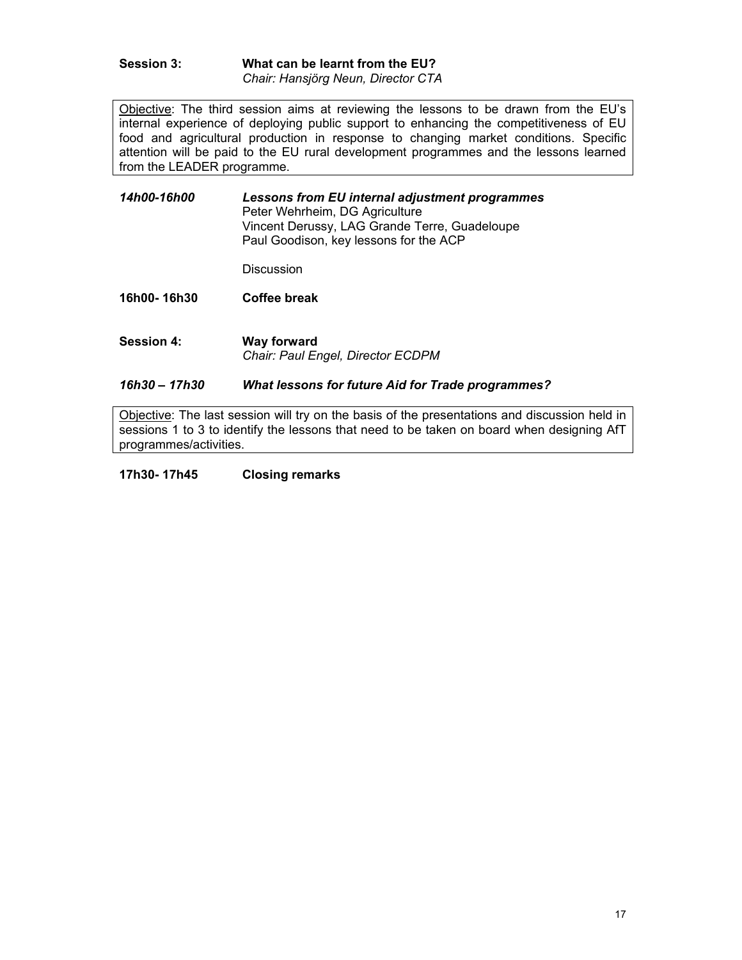**Session 3: What can be learnt from the EU?**  *Chair: Hansjörg Neun, Director CTA* 

Objective: The third session aims at reviewing the lessons to be drawn from the EU's internal experience of deploying public support to enhancing the competitiveness of EU food and agricultural production in response to changing market conditions. Specific attention will be paid to the EU rural development programmes and the lessons learned from the LEADER programme.

*14h00-16h00 Lessons from EU internal adjustment programmes*  Peter Wehrheim, DG Agriculture Vincent Derussy, LAG Grande Terre, Guadeloupe Paul Goodison, key lessons for the ACP

Discussion

**16h00- 16h30 Coffee break** 

**Session 4: Way forward**  *Chair: Paul Engel, Director ECDPM* 

#### *16h30 – 17h30 What lessons for future Aid for Trade programmes?*

Objective: The last session will try on the basis of the presentations and discussion held in sessions 1 to 3 to identify the lessons that need to be taken on board when designing AfT programmes/activities.

#### **17h30- 17h45 Closing remarks**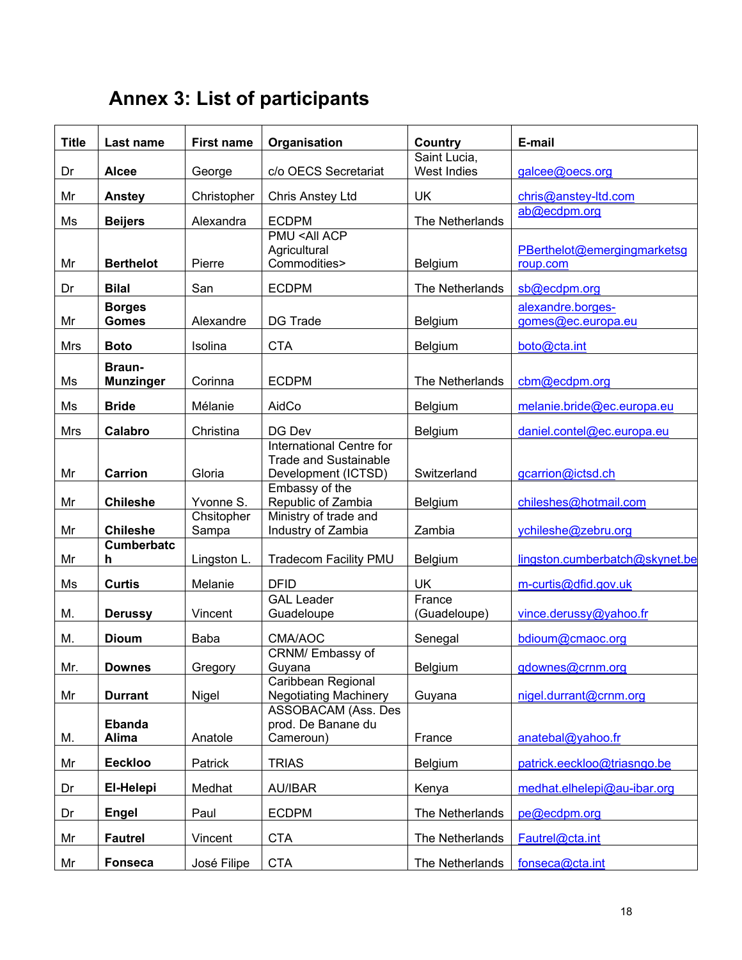# **Annex 3: List of participants**

| <b>Title</b> | Last name              | <b>First name</b> | Organisation                              | Country                | E-mail                         |
|--------------|------------------------|-------------------|-------------------------------------------|------------------------|--------------------------------|
|              |                        |                   |                                           | Saint Lucia,           |                                |
| Dr           | <b>Alcee</b>           | George            | c/o OECS Secretariat                      | <b>West Indies</b>     | galcee@oecs.org                |
| Mr           | Anstey                 | Christopher       | Chris Anstey Ltd                          | UK                     | chris@anstey-ltd.com           |
| Ms           | <b>Beijers</b>         | Alexandra         | <b>ECDPM</b>                              | The Netherlands        | ab@ecdpm.org                   |
|              |                        |                   | <b>PMU <all acp<="" b=""></all></b>       |                        |                                |
|              |                        |                   | Agricultural                              |                        | PBerthelot@emergingmarketsg    |
| Mr           | <b>Berthelot</b>       | Pierre            | Commodities>                              | Belgium                | roup.com                       |
| Dr           | <b>Bilal</b>           | San               | <b>ECDPM</b>                              | The Netherlands        | sb@ecdpm.org                   |
|              | <b>Borges</b>          |                   |                                           |                        | alexandre.borges-              |
| Mr           | <b>Gomes</b>           | Alexandre         | <b>DG Trade</b>                           | Belgium                | gomes@ec.europa.eu             |
| <b>Mrs</b>   | <b>Boto</b>            | Isolina           | <b>CTA</b>                                | Belgium                | boto@cta.int                   |
|              | Braun-                 |                   |                                           |                        |                                |
| Ms           | <b>Munzinger</b>       | Corinna           | <b>ECDPM</b>                              | The Netherlands        | cbm@ecdpm.org                  |
| Ms           | <b>Bride</b>           | Mélanie           | AidCo                                     | Belgium                | melanie.bride@ec.europa.eu     |
|              |                        |                   |                                           |                        |                                |
| Mrs          | Calabro                | Christina         | DG Dev<br><b>International Centre for</b> | Belgium                | daniel.contel@ec.europa.eu     |
|              |                        |                   | <b>Trade and Sustainable</b>              |                        |                                |
| Mr           | <b>Carrion</b>         | Gloria            | Development (ICTSD)                       | Switzerland            | gcarrion@ictsd.ch              |
|              |                        |                   | Embassy of the                            |                        |                                |
| Mr           | <b>Chileshe</b>        | Yvonne S.         | Republic of Zambia                        | Belgium                | chileshes@hotmail.com          |
|              |                        | Chsitopher        | Ministry of trade and                     |                        |                                |
| Mr           | <b>Chileshe</b>        | Sampa             | Industry of Zambia                        | Zambia                 | ychileshe@zebru.org            |
| Mr           | <b>Cumberbatc</b><br>h | Lingston L.       | Tradecom Facility PMU                     | Belgium                | lingston.cumberbatch@skynet.be |
|              |                        |                   |                                           |                        |                                |
| Ms           | <b>Curtis</b>          | Melanie           | <b>DFID</b>                               | <b>UK</b>              | m-curtis@dfid.gov.uk           |
| M.           | <b>Derussy</b>         | Vincent           | <b>GAL Leader</b><br>Guadeloupe           | France<br>(Guadeloupe) | vince.derussy@yahoo.fr         |
|              |                        |                   |                                           |                        |                                |
| M.           | <b>Dioum</b>           | Baba              | CMA/AOC                                   | Senegal                | bdioum@cmaoc.org               |
|              |                        |                   | CRNM/ Embassy of                          |                        |                                |
| Mr.          | <b>Downes</b>          | Gregory           | Guyana<br>Caribbean Regional              | <b>Belgium</b>         | gdownes@crnm.org               |
| Mr           | <b>Durrant</b>         | Nigel             | <b>Negotiating Machinery</b>              | Guyana                 | nigel.durrant@crnm.org         |
|              |                        |                   | <b>ASSOBACAM (Ass. Des</b>                |                        |                                |
|              | <b>Ebanda</b>          |                   | prod. De Banane du                        |                        |                                |
| М.           | <b>Alima</b>           | Anatole           | Cameroun)                                 | France                 | anatebal@yahoo.fr              |
| Mr           | <b>Eeckloo</b>         | Patrick           | <b>TRIAS</b>                              | Belgium                | patrick.eeckloo@triasngo.be    |
| Dr           | El-Helepi              | Medhat            | <b>AU/IBAR</b>                            | Kenya                  | medhat.elhelepi@au-ibar.org    |
| Dr           | <b>Engel</b>           | Paul              | <b>ECDPM</b>                              | The Netherlands        | pe@ecdpm.org                   |
|              |                        |                   |                                           |                        |                                |
| Mr           | <b>Fautrel</b>         | Vincent           | <b>CTA</b>                                | The Netherlands        | Fautrel@cta.int                |
| Mr           | <b>Fonseca</b>         | José Filipe       | <b>CTA</b>                                | The Netherlands        | fonseca@cta.int                |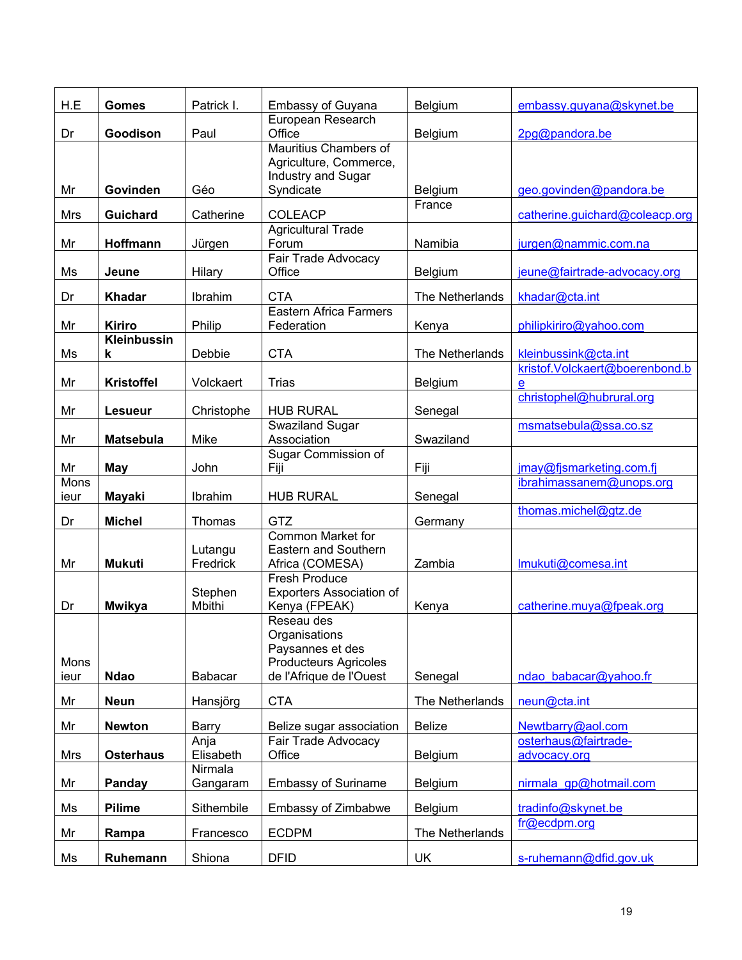| H.E        | <b>Gomes</b>          | Patrick I.           | Embassy of Guyana                               | Belgium         | embassy.guyana@skynet.be       |
|------------|-----------------------|----------------------|-------------------------------------------------|-----------------|--------------------------------|
| Dr         | Goodison              | Paul                 | European Research<br>Office                     | Belgium         | 2pg@pandora.be                 |
|            |                       |                      | Mauritius Chambers of<br>Agriculture, Commerce, |                 |                                |
|            |                       |                      | Industry and Sugar                              |                 |                                |
| Mr         | Govinden              | Géo                  | Syndicate                                       | Belgium         | geo.govinden@pandora.be        |
| <b>Mrs</b> | <b>Guichard</b>       | Catherine            | <b>COLEACP</b>                                  | France          | catherine.guichard@coleacp.org |
|            |                       |                      | <b>Agricultural Trade</b>                       |                 |                                |
| Mr         | Hoffmann              | Jürgen               | Forum<br><b>Fair Trade Advocacy</b>             | Namibia         | jurgen@nammic.com.na           |
| Ms         | <b>Jeune</b>          | Hilary               | Office                                          | <b>Belgium</b>  | jeune@fairtrade-advocacy.org   |
| Dr         | <b>Khadar</b>         | Ibrahim              | <b>CTA</b>                                      | The Netherlands | khadar@cta.int                 |
|            |                       |                      | <b>Eastern Africa Farmers</b>                   |                 |                                |
| Mr         | Kiriro<br>Kleinbussin | Philip               | Federation                                      | Kenya           | philipkiriro@yahoo.com         |
| Ms         | k                     | Debbie               | <b>CTA</b>                                      | The Netherlands | kleinbussink@cta.int           |
|            |                       |                      |                                                 |                 | kristof.Volckaert@boerenbond.b |
| Mr         | <b>Kristoffel</b>     | Volckaert            | <b>Trias</b>                                    | Belgium         | e                              |
| Mr         | <b>Lesueur</b>        | Christophe           | <b>HUB RURAL</b>                                | Senegal         | christophel@hubrural.org       |
|            |                       |                      | Swaziland Sugar                                 |                 | msmatsebula@ssa.co.sz          |
| Mr         | <b>Matsebula</b>      | Mike                 | Association                                     | Swaziland       |                                |
| Mr         | May                   | John                 | Sugar Commission of<br>Fiji                     | Fiji            | jmay@fjsmarketing.com.fj       |
| Mons       |                       |                      |                                                 |                 | ibrahimassanem@unops.org       |
| ieur       | <b>Mayaki</b>         | Ibrahim              | <b>HUB RURAL</b>                                | Senegal         |                                |
| Dr         | <b>Michel</b>         | Thomas               | GTZ                                             | Germany         | thomas.michel@gtz.de           |
|            |                       |                      | <b>Common Market for</b>                        |                 |                                |
|            |                       | Lutangu              | Eastern and Southern                            |                 |                                |
| Mr         | <b>Mukuti</b>         | Fredrick             | Africa (COMESA)<br><b>Fresh Produce</b>         | Zambia          | Imukuti@comesa.int             |
|            |                       | Stephen              | <b>Exporters Association of</b>                 |                 |                                |
| Dr         | <b>Mwikya</b>         | Mbithi               | Kenya (FPEAK)                                   | Kenya           | catherine.muya@fpeak.org       |
|            |                       |                      | Reseau des                                      |                 |                                |
|            |                       |                      | Organisations<br>Paysannes et des               |                 |                                |
| Mons       |                       |                      | <b>Producteurs Agricoles</b>                    |                 |                                |
| ieur       | <b>Ndao</b>           | Babacar              | de l'Afrique de l'Ouest                         | Senegal         | ndao babacar@yahoo.fr          |
| Mr         | <b>Neun</b>           | Hansjörg             | <b>CTA</b>                                      | The Netherlands | neun@cta.int                   |
| Mr         | <b>Newton</b>         | Barry                | Belize sugar association                        | <b>Belize</b>   | Newtbarry@aol.com              |
|            |                       | Anja                 | Fair Trade Advocacy                             |                 | osterhaus@fairtrade-           |
| <b>Mrs</b> | <b>Osterhaus</b>      | Elisabeth<br>Nirmala | Office                                          | Belgium         | advocacy.org                   |
| Mr         | Panday                | Gangaram             | <b>Embassy of Suriname</b>                      | Belgium         | nirmala gp@hotmail.com         |
| Ms         | <b>Pilime</b>         | Sithembile           | Embassy of Zimbabwe                             | Belgium         | tradinfo@skynet.be             |
| Mr         | Rampa                 | Francesco            | <b>ECDPM</b>                                    | The Netherlands | fr@ecdpm.org                   |
| Ms         | Ruhemann              | Shiona               | <b>DFID</b>                                     | UK              | s-ruhemann@dfid.gov.uk         |